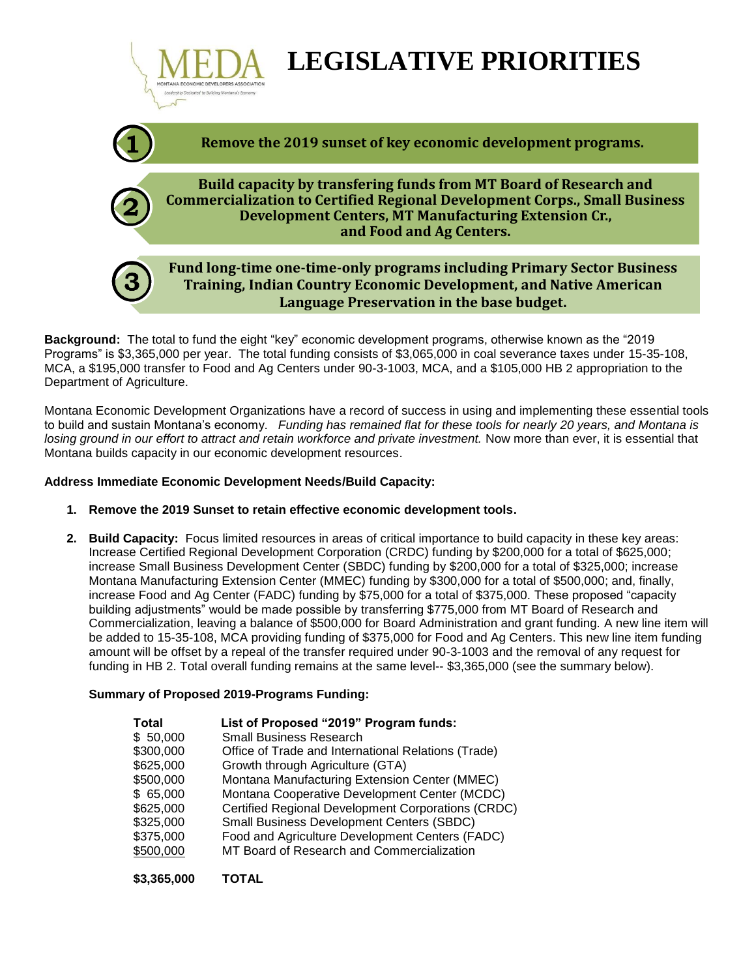

**Background:** The total to fund the eight "key" economic development programs, otherwise known as the "2019 Programs" is \$3,365,000 per year. The total funding consists of \$3,065,000 in coal severance taxes under 15-35-108, MCA, a \$195,000 transfer to Food and Ag Centers under 90-3-1003, MCA, and a \$105,000 HB 2 appropriation to the Department of Agriculture.

Montana Economic Development Organizations have a record of success in using and implementing these essential tools to build and sustain Montana's economy. *Funding has remained flat for these tools for nearly 20 years, and Montana is losing ground in our effort to attract and retain workforce and private investment.* Now more than ever, it is essential that Montana builds capacity in our economic development resources.

# **Address Immediate Economic Development Needs/Build Capacity:**

- **1. Remove the 2019 Sunset to retain effective economic development tools.**
- **2. Build Capacity:** Focus limited resources in areas of critical importance to build capacity in these key areas: Increase Certified Regional Development Corporation (CRDC) funding by \$200,000 for a total of \$625,000; increase Small Business Development Center (SBDC) funding by \$200,000 for a total of \$325,000; increase Montana Manufacturing Extension Center (MMEC) funding by \$300,000 for a total of \$500,000; and, finally, increase Food and Ag Center (FADC) funding by \$75,000 for a total of \$375,000. These proposed "capacity building adjustments" would be made possible by transferring \$775,000 from MT Board of Research and Commercialization, leaving a balance of \$500,000 for Board Administration and grant funding. A new line item will be added to 15-35-108, MCA providing funding of \$375,000 for Food and Ag Centers. This new line item funding amount will be offset by a repeal of the transfer required under 90-3-1003 and the removal of any request for funding in HB 2. Total overall funding remains at the same level-- \$3,365,000 (see the summary below).

### **Summary of Proposed 2019-Programs Funding:**

**\$3,365,000 TOTAL**

| <b>Total</b> | List of Proposed "2019" Program funds:              |
|--------------|-----------------------------------------------------|
| \$50,000     | <b>Small Business Research</b>                      |
| \$300,000    | Office of Trade and International Relations (Trade) |
| \$625,000    | Growth through Agriculture (GTA)                    |
| \$500,000    | Montana Manufacturing Extension Center (MMEC)       |
| \$65,000     | Montana Cooperative Development Center (MCDC)       |
| \$625,000    | Certified Regional Development Corporations (CRDC)  |
| \$325,000    | Small Business Development Centers (SBDC)           |
| \$375,000    | Food and Agriculture Development Centers (FADC)     |
| \$500,000    | MT Board of Research and Commercialization          |
|              |                                                     |